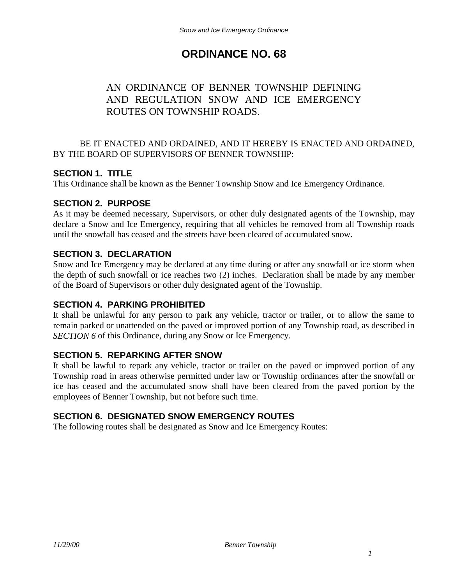# **ORDINANCE NO. 68**

## AN ORDINANCE OF BENNER TOWNSHIP DEFINING AND REGULATION SNOW AND ICE EMERGENCY ROUTES ON TOWNSHIP ROADS.

#### BE IT ENACTED AND ORDAINED, AND IT HEREBY IS ENACTED AND ORDAINED, BY THE BOARD OF SUPERVISORS OF BENNER TOWNSHIP:

## **SECTION 1. TITLE**

This Ordinance shall be known as the Benner Township Snow and Ice Emergency Ordinance.

## **SECTION 2. PURPOSE**

As it may be deemed necessary, Supervisors, or other duly designated agents of the Township, may declare a Snow and Ice Emergency, requiring that all vehicles be removed from all Township roads until the snowfall has ceased and the streets have been cleared of accumulated snow.

#### **SECTION 3. DECLARATION**

Snow and Ice Emergency may be declared at any time during or after any snowfall or ice storm when the depth of such snowfall or ice reaches two (2) inches. Declaration shall be made by any member of the Board of Supervisors or other duly designated agent of the Township.

#### **SECTION 4. PARKING PROHIBITED**

It shall be unlawful for any person to park any vehicle, tractor or trailer, or to allow the same to remain parked or unattended on the paved or improved portion of any Township road, as described in *SECTION 6* of this Ordinance, during any Snow or Ice Emergency.

#### **SECTION 5. REPARKING AFTER SNOW**

It shall be lawful to repark any vehicle, tractor or trailer on the paved or improved portion of any Township road in areas otherwise permitted under law or Township ordinances after the snowfall or ice has ceased and the accumulated snow shall have been cleared from the paved portion by the employees of Benner Township, but not before such time.

## **SECTION 6. DESIGNATED SNOW EMERGENCY ROUTES**

The following routes shall be designated as Snow and Ice Emergency Routes: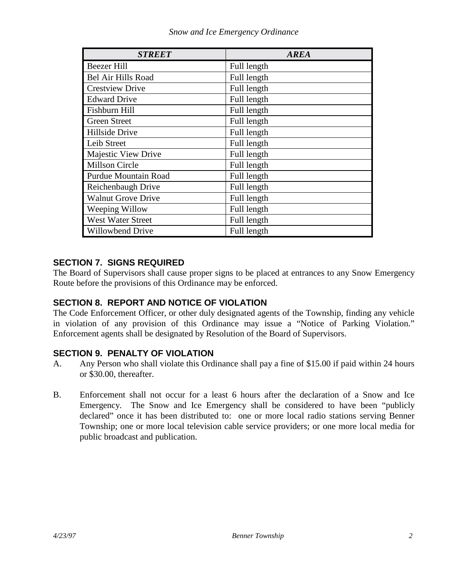| <b>STREET</b>               | <b>AREA</b> |
|-----------------------------|-------------|
| <b>Beezer Hill</b>          | Full length |
| <b>Bel Air Hills Road</b>   | Full length |
| <b>Crestview Drive</b>      | Full length |
| <b>Edward Drive</b>         | Full length |
| Fishburn Hill               | Full length |
| <b>Green Street</b>         | Full length |
| Hillside Drive              | Full length |
| Leib Street                 | Full length |
| Majestic View Drive         | Full length |
| Millson Circle              | Full length |
| <b>Purdue Mountain Road</b> | Full length |
| Reichenbaugh Drive          | Full length |
| <b>Walnut Grove Drive</b>   | Full length |
| Weeping Willow              | Full length |
| <b>West Water Street</b>    | Full length |
| <b>Willowbend Drive</b>     | Full length |

## **SECTION 7. SIGNS REQUIRED**

The Board of Supervisors shall cause proper signs to be placed at entrances to any Snow Emergency Route before the provisions of this Ordinance may be enforced.

## **SECTION 8. REPORT AND NOTICE OF VIOLATION**

The Code Enforcement Officer, or other duly designated agents of the Township, finding any vehicle in violation of any provision of this Ordinance may issue a "Notice of Parking Violation." Enforcement agents shall be designated by Resolution of the Board of Supervisors.

## **SECTION 9. PENALTY OF VIOLATION**

- A. Any Person who shall violate this Ordinance shall pay a fine of \$15.00 if paid within 24 hours or \$30.00, thereafter.
- B. Enforcement shall not occur for a least 6 hours after the declaration of a Snow and Ice Emergency. The Snow and Ice Emergency shall be considered to have been "publicly declared" once it has been distributed to: one or more local radio stations serving Benner Township; one or more local television cable service providers; or one more local media for public broadcast and publication.